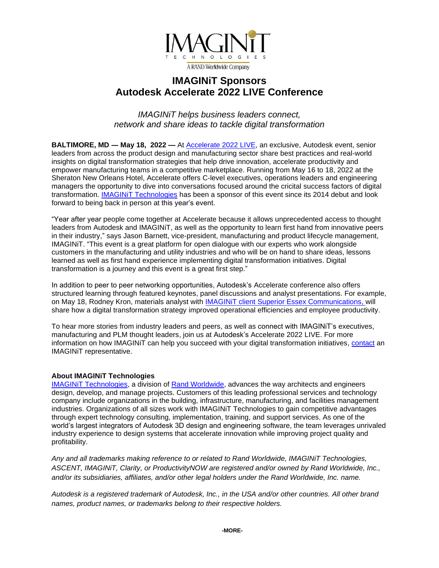

# **IMAGINiT Sponsors Autodesk Accelerate 2022 LIVE Conference**

*IMAGINiT helps business leaders connect, network and share ideas to tackle digital transformation*

**BALTIMORE, MD ― May 18, 2022 —** At [Accelerate 2022 LIVE,](https://cvent.autodesk.com/event/512021ec-f029-4c32-abaf-f80316027be4/summary) an exclusive, Autodesk event, senior leaders from across the product design and manufacturing sector share best practices and real-world insights on digital transformation strategies that help drive innovation, accelerate productivity and empower manufacturing teams in a competitive marketplace. Running from May 16 to 18, 2022 at the Sheraton New Orleans Hotel, Accelerate offers C-level executives, operations leaders and engineering managers the opportunity to dive into conversations focused around the cricital success factors of digital transformation. [IMAGINiT Technologies](https://www.imaginit.com/?utm_source=dynamic&utm_medium=press-release&utm_campaign=Accelerate-2022) has been a sponsor of this event since its 2014 debut and look forward to being back in person at this year's event.

"Year after year people come together at Accelerate because it allows unprecedented access to thought leaders from Autodesk and IMAGINiT, as well as the opportunity to learn first hand from innovative peers in their industry," says Jason Barnett, vice-president, manufacturing and product lifecycle management, IMAGINiT. "This event is a great platform for open dialogue with our experts who work alongside customers in the manufacturing and utility industries and who will be on hand to share ideas, lessons learned as well as first hand experience implementing digital transformation initiatives. Digital transformation is a journey and this event is a great first step."

In addition to peer to peer networking opportunities, Autodesk's Accelerate conference also offers structured learning through featured keynotes, panel discussions and analyst presentations. For example, on May 18, Rodney Kron, materials analyst with [IMAGINiT client Superior Essex Communications,](https://resources.imaginit.com/case-studies/superior-essex-communications-replaces-home-grown-plm-system?utm_source=dynamic&utm_medium=press-release&utm_campaign=Accelerate-2022) will share how a digital transformation strategy improved operational efficiencies and employee productivity.

To hear more stories from industry leaders and peers, as well as connect with IMAGINiT's executives, manufacturing and PLM thought leaders, join us at Autodesk's Accelerate 2022 LIVE. For more information on how IMAGINiT can help you succeed with your digital transformation initiatives, [contact](https://www.imaginit.com/contact-us?utm_source=dynamic&utm_medium=press-release&utm_campaign=Accelerate-2022) an IMAGINiT representative.

### **About IMAGINiT Technologies**

[IMAGINiT Technologies,](https://www.imaginit.com/?utm_source=dynamic&utm_medium=press-release&utm_campaign=Accelerate-2022) a division of [Rand Worldwide,](https://rand.com/?utm_source=dynamic&utm_medium=press-release&utm_campaign=Accelerate-2022) advances the way architects and engineers design, develop, and manage projects. Customers of this leading professional services and technology company include organizations in the building, infrastructure, manufacturing, and facilities management industries. Organizations of all sizes work with IMAGINiT Technologies to gain competitive advantages through expert technology consulting, implementation, training, and support services. As one of the world's largest integrators of Autodesk 3D design and engineering software, the team leverages unrivaled industry experience to design systems that accelerate innovation while improving project quality and profitability.

*Any and all trademarks making reference to or related to Rand Worldwide, IMAGINiT Technologies, ASCENT, IMAGINiT, Clarity, or ProductivityNOW are registered and/or owned by Rand Worldwide, Inc., and/or its subsidiaries, affiliates, and/or other legal holders under the Rand Worldwide, Inc. name.* 

*Autodesk is a registered trademark of Autodesk, Inc., in the USA and/or other countries. All other brand names, product names, or trademarks belong to their respective holders.*